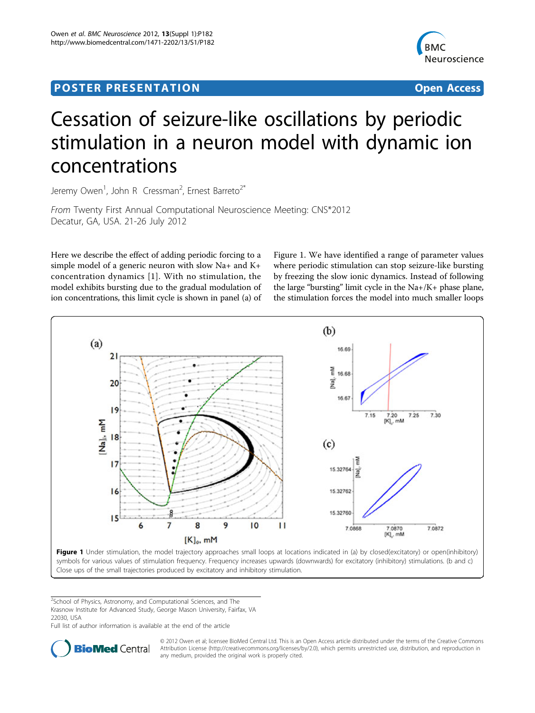## <span id="page-0-0"></span>Post Experimental Police in the St English Police in the St English Police in the St English Police in the St<br>Police in the St English Police in the St English Police in the St English Police in the St English Police in



# Cessation of seizure-like oscillations by periodic stimulation in a neuron model with dynamic ion concentrations

Jeremy Owen<sup>1</sup>, John R Cressman<sup>2</sup>, Ernest Barreto<sup>2\*</sup>

From Twenty First Annual Computational Neuroscience Meeting: CNS\*2012 Decatur, GA, USA. 21-26 July 2012

Here we describe the effect of adding periodic forcing to a simple model of a generic neuron with slow Na+ and K+ concentration dynamics [[1](#page-1-0)]. With no stimulation, the model exhibits bursting due to the gradual modulation of ion concentrations, this limit cycle is shown in panel (a) of

Figure 1. We have identified a range of parameter values where periodic stimulation can stop seizure-like bursting by freezing the slow ionic dynamics. Instead of following the large "bursting" limit cycle in the Na+/K+ phase plane, the stimulation forces the model into much smaller loops



Close ups of the small trajectories produced by excitatory and inhibitory stimulation.

<sup>2</sup>School of Physics, Astronomy, and Computational Sciences, and The Krasnow Institute for Advanced Study, George Mason University, Fairfax, VA 22030, USA

Full list of author information is available at the end of the article



© 2012 Owen et al; licensee BioMed Central Ltd. This is an Open Access article distributed under the terms of the Creative Commons Attribution License [\(http://creativecommons.org/licenses/by/2.0](http://creativecommons.org/licenses/by/2.0)), which permits unrestricted use, distribution, and reproduction in any medium, provided the original work is properly cited.